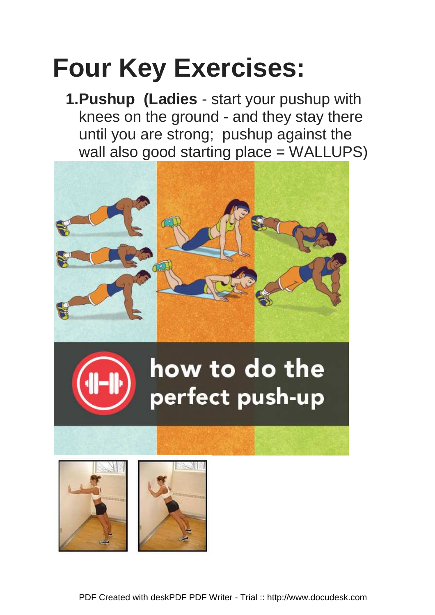# **Four Key Exercises:**

**1. Pushup (Ladies** - start your pushup with knees on the ground - and they stay there until you are strong; pushup against the wall also good starting place = WALLUPS)





### how to do the perfect push-up

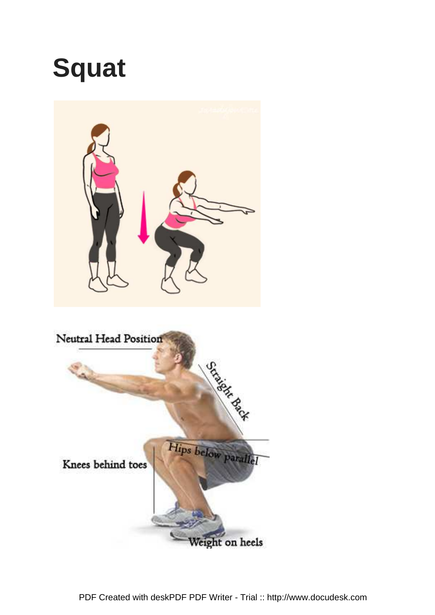## **Squat**

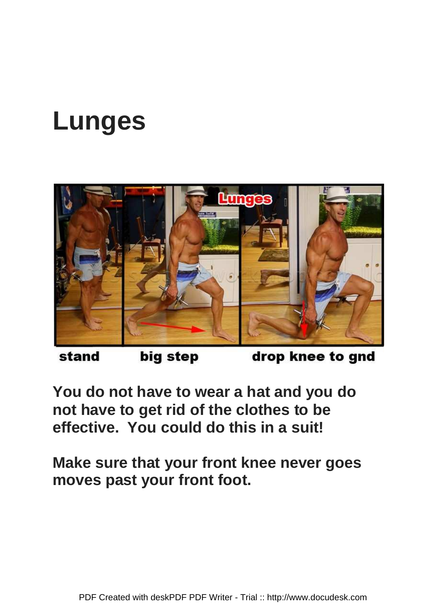## **Lunges**



big step stand

drop knee to gnd

**You do not have to wear a hat and you do not have to get rid of the clothes to be effective. You could do this in a suit!**

**Make sure that your front knee never goes moves past your front foot.**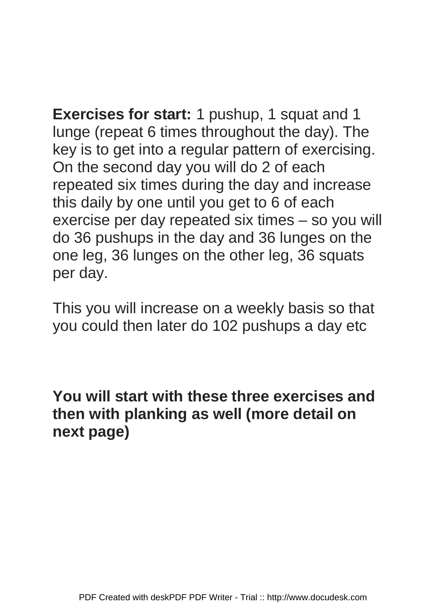**Exercises for start:** 1 pushup, 1 squat and 1 lunge (repeat 6 times throughout the day). The key is to get into a regular pattern of exercising. On the second day you will do 2 of each repeated six times during the day and increase this daily by one until you get to 6 of each exercise per day repeated six times – so you will do 36 pushups in the day and 36 lunges on the one leg, 36 lunges on the other leg, 36 squats per day.

This you will increase on a weekly basis so that you could then later do 102 pushups a day etc

**You will start with these three exercises and then with planking as well (more detail on next page)**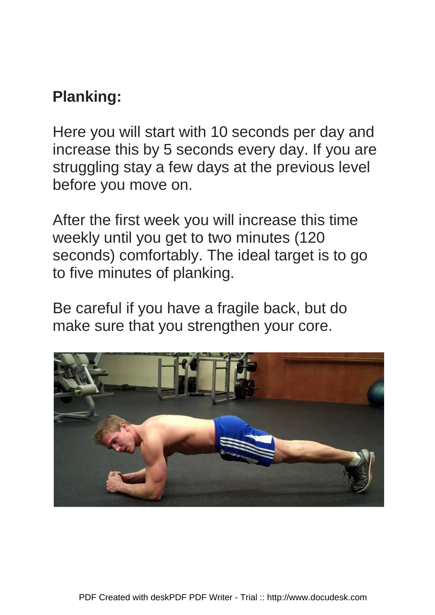#### **Planking:**

Here you will start with 10 seconds per day and increase this by 5 seconds every day. If you are struggling stay a few days at the previous level before you move on.

After the first week you will increase this time weekly until you get to two minutes (120 seconds) comfortably. The ideal target is to go to five minutes of planking.

Be careful if you have a fragile back, but do make sure that you strengthen your core.